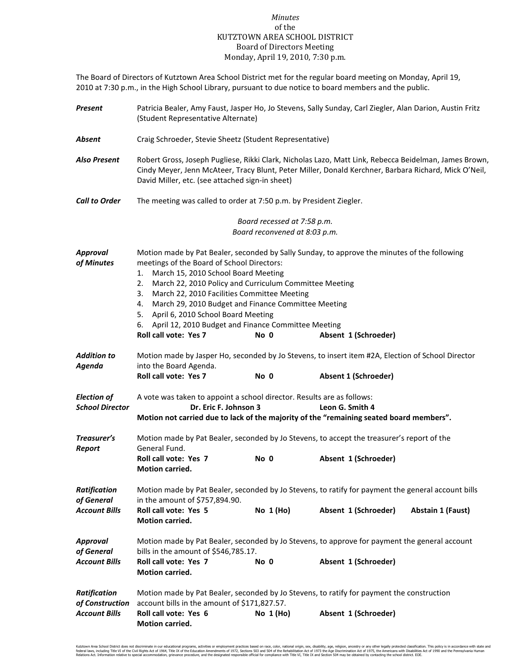## *Minutes* of the KUTZTOWN AREA SCHOOL DISTRICT Board of Directors Meeting Monday, April 19, 2010, 7:30 p.m.

The Board of Directors of Kutztown Area School District met for the regular board meeting on Monday, April 19, 2010 at 7:30 p.m., in the High School Library, pursuant to due notice to board members and the public.

| Present                                                        | Patricia Bealer, Amy Faust, Jasper Ho, Jo Stevens, Sally Sunday, Carl Ziegler, Alan Darion, Austin Fritz<br>(Student Representative Alternate)                                                                                                                                                                                                                                                                                                                                                                                        |                                                              |                      |  |  |  |  |  |  |
|----------------------------------------------------------------|---------------------------------------------------------------------------------------------------------------------------------------------------------------------------------------------------------------------------------------------------------------------------------------------------------------------------------------------------------------------------------------------------------------------------------------------------------------------------------------------------------------------------------------|--------------------------------------------------------------|----------------------|--|--|--|--|--|--|
| Absent                                                         | Craig Schroeder, Stevie Sheetz (Student Representative)                                                                                                                                                                                                                                                                                                                                                                                                                                                                               |                                                              |                      |  |  |  |  |  |  |
| <b>Also Present</b>                                            | Robert Gross, Joseph Pugliese, Rikki Clark, Nicholas Lazo, Matt Link, Rebecca Beidelman, James Brown,<br>Cindy Meyer, Jenn McAteer, Tracy Blunt, Peter Miller, Donald Kerchner, Barbara Richard, Mick O'Neil,<br>David Miller, etc. (see attached sign-in sheet)                                                                                                                                                                                                                                                                      |                                                              |                      |  |  |  |  |  |  |
| <b>Call to Order</b>                                           | The meeting was called to order at 7:50 p.m. by President Ziegler.                                                                                                                                                                                                                                                                                                                                                                                                                                                                    |                                                              |                      |  |  |  |  |  |  |
|                                                                |                                                                                                                                                                                                                                                                                                                                                                                                                                                                                                                                       | Board recessed at 7:58 p.m.<br>Board reconvened at 8:03 p.m. |                      |  |  |  |  |  |  |
| <b>Approval</b><br>of Minutes                                  | Motion made by Pat Bealer, seconded by Sally Sunday, to approve the minutes of the following<br>meetings of the Board of School Directors:<br>March 15, 2010 School Board Meeting<br>1.<br>March 22, 2010 Policy and Curriculum Committee Meeting<br>2.<br>March 22, 2010 Facilities Committee Meeting<br>3.<br>March 29, 2010 Budget and Finance Committee Meeting<br>4.<br>5. April 6, 2010 School Board Meeting<br>6. April 12, 2010 Budget and Finance Committee Meeting<br>Roll call vote: Yes 7<br>No 0<br>Absent 1 (Schroeder) |                                                              |                      |  |  |  |  |  |  |
| <b>Addition to</b><br>Agenda                                   | Motion made by Jasper Ho, seconded by Jo Stevens, to insert item #2A, Election of School Director<br>into the Board Agenda.<br>Roll call vote: Yes 7                                                                                                                                                                                                                                                                                                                                                                                  | No 0                                                         | Absent 1 (Schroeder) |  |  |  |  |  |  |
| <b>Election of</b><br><b>School Director</b>                   | A vote was taken to appoint a school director. Results are as follows:<br>Dr. Eric F. Johnson 3<br>Leon G. Smith 4<br>Motion not carried due to lack of the majority of the "remaining seated board members".                                                                                                                                                                                                                                                                                                                         |                                                              |                      |  |  |  |  |  |  |
| Treasurer's<br>Report                                          | Motion made by Pat Bealer, seconded by Jo Stevens, to accept the treasurer's report of the<br>General Fund.<br>Roll call vote: Yes 7<br><b>Motion carried.</b>                                                                                                                                                                                                                                                                                                                                                                        | No 0                                                         | Absent 1 (Schroeder) |  |  |  |  |  |  |
| <b>Ratification</b><br>of General<br><b>Account Bills</b>      | Motion made by Pat Bealer, seconded by Jo Stevens, to ratify for payment the general account bills<br>in the amount of \$757,894.90.<br>Roll call vote: Yes 5<br>No $1(Ho)$<br>Absent 1 (Schroeder)<br><b>Abstain 1 (Faust)</b><br>Motion carried.                                                                                                                                                                                                                                                                                    |                                                              |                      |  |  |  |  |  |  |
| <b>Approval</b><br>of General<br><b>Account Bills</b>          | Motion made by Pat Bealer, seconded by Jo Stevens, to approve for payment the general account<br>bills in the amount of \$546,785.17.<br>Roll call vote: Yes 7<br>Motion carried.                                                                                                                                                                                                                                                                                                                                                     | No 0                                                         | Absent 1 (Schroeder) |  |  |  |  |  |  |
| <b>Ratification</b><br>of Construction<br><b>Account Bills</b> | Motion made by Pat Bealer, seconded by Jo Stevens, to ratify for payment the construction<br>account bills in the amount of \$171,827.57.<br>Roll call vote: Yes 6<br>Motion carried.                                                                                                                                                                                                                                                                                                                                                 | No $1(Ho)$                                                   | Absent 1 (Schroeder) |  |  |  |  |  |  |

Kutztown Area School District does not discriminate in our educational programs, activities or employment practices based on race, color, national origin, sex, disability, age, religion, ancestry or any other legally prote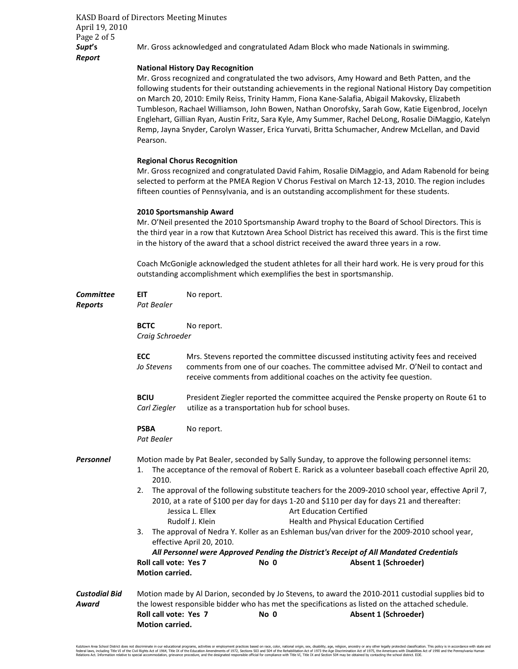KASD Board of Directors Meeting Minutes April 19, 2010 Page 2 of 5 *Report* 

**Supt's** Mr. Gross acknowledged and congratulated Adam Block who made Nationals in swimming.

## **National History Day Recognition**

 Mr. Gross recognized and congratulated the two advisors, Amy Howard and Beth Patten, and the following students for their outstanding achievements in the regional National History Day competition on March 20, 2010: Emily Reiss, Trinity Hamm, Fiona Kane-Salafia, Abigail Makovsky, Elizabeth Tumbleson, Rachael Williamson, John Bowen, Nathan Onorofsky, Sarah Gow, Katie Eigenbrod, Jocelyn Englehart, Gillian Ryan, Austin Fritz, Sara Kyle, Amy Summer, Rachel DeLong, Rosalie DiMaggio, Katelyn Remp, Jayna Snyder, Carolyn Wasser, Erica Yurvati, Britta Schumacher, Andrew McLellan, and David Pearson.

## **Regional Chorus Recognition**

Mr. Gross recognized and congratulated David Fahim, Rosalie DiMaggio, and Adam Rabenold for being selected to perform at the PMEA Region V Chorus Festival on March 12-13, 2010. The region includes fifteen counties of Pennsylvania, and is an outstanding accomplishment for these students.

## **2010 Sportsmanship Award**

Mr. O'Neil presented the 2010 Sportsmanship Award trophy to the Board of School Directors. This is the third year in a row that Kutztown Area School District has received this award. This is the first time in the history of the award that a school district received the award three years in a row.

 Coach McGonigle acknowledged the student athletes for all their hard work. He is very proud for this outstanding accomplishment which exemplifies the best in sportsmanship.

| <b>Committee</b><br><b>Reports</b> | <b>EIT</b><br>Pat Bealer                                                   | No report.                                                                                                                                                                                                                                          |      |                                                                                                                                                                                                                                                                                                                                                                                                                                                                                                                                                                                                                                                                                                                    |  |  |
|------------------------------------|----------------------------------------------------------------------------|-----------------------------------------------------------------------------------------------------------------------------------------------------------------------------------------------------------------------------------------------------|------|--------------------------------------------------------------------------------------------------------------------------------------------------------------------------------------------------------------------------------------------------------------------------------------------------------------------------------------------------------------------------------------------------------------------------------------------------------------------------------------------------------------------------------------------------------------------------------------------------------------------------------------------------------------------------------------------------------------------|--|--|
|                                    | <b>BCTC</b><br>Craig Schroeder                                             | No report.                                                                                                                                                                                                                                          |      |                                                                                                                                                                                                                                                                                                                                                                                                                                                                                                                                                                                                                                                                                                                    |  |  |
| <b>ECC</b><br>Jo Stevens           |                                                                            | Mrs. Stevens reported the committee discussed instituting activity fees and received<br>comments from one of our coaches. The committee advised Mr. O'Neil to contact and<br>receive comments from additional coaches on the activity fee question. |      |                                                                                                                                                                                                                                                                                                                                                                                                                                                                                                                                                                                                                                                                                                                    |  |  |
|                                    | <b>BCIU</b><br>Carl Ziegler                                                | President Ziegler reported the committee acquired the Penske property on Route 61 to<br>utilize as a transportation hub for school buses.                                                                                                           |      |                                                                                                                                                                                                                                                                                                                                                                                                                                                                                                                                                                                                                                                                                                                    |  |  |
|                                    | <b>PSBA</b><br>Pat Bealer                                                  | No report.                                                                                                                                                                                                                                          |      |                                                                                                                                                                                                                                                                                                                                                                                                                                                                                                                                                                                                                                                                                                                    |  |  |
| <b>Personnel</b>                   | 1.<br>2010.<br>2.<br>3.<br>Roll call vote: Yes 7<br><b>Motion carried.</b> | Jessica L. Ellex<br>Rudolf J. Klein<br>effective April 20, 2010.                                                                                                                                                                                    | No 0 | Motion made by Pat Bealer, seconded by Sally Sunday, to approve the following personnel items:<br>The acceptance of the removal of Robert E. Rarick as a volunteer baseball coach effective April 20,<br>The approval of the following substitute teachers for the 2009-2010 school year, effective April 7,<br>2010, at a rate of \$100 per day for days 1-20 and \$110 per day for days 21 and thereafter:<br><b>Art Education Certified</b><br>Health and Physical Education Certified<br>The approval of Nedra Y. Koller as an Eshleman bus/van driver for the 2009-2010 school year,<br>All Personnel were Approved Pending the District's Receipt of All Mandated Credentials<br><b>Absent 1 (Schroeder)</b> |  |  |
| <b>Custodial Bid</b><br>Award      | Roll call vote: Yes 7<br><b>Motion carried.</b>                            |                                                                                                                                                                                                                                                     | No 0 | Motion made by Al Darion, seconded by Jo Stevens, to award the 2010-2011 custodial supplies bid to<br>the lowest responsible bidder who has met the specifications as listed on the attached schedule.<br>Absent 1 (Schroeder)                                                                                                                                                                                                                                                                                                                                                                                                                                                                                     |  |  |

Kutzown Area School District does not discrimate in our educational programs, activities or emploment practices based on race, color, national origin, sex, disability, age, religion, ances of 1975, because with every or an ducation Americaniens of 1972, secuoris 503 and 504 die rechabilitation Acc of 1975 une Age Discrimination Acc of 1975 professional characterisms with Disabilitation of the designated resoluction of the school district. EQ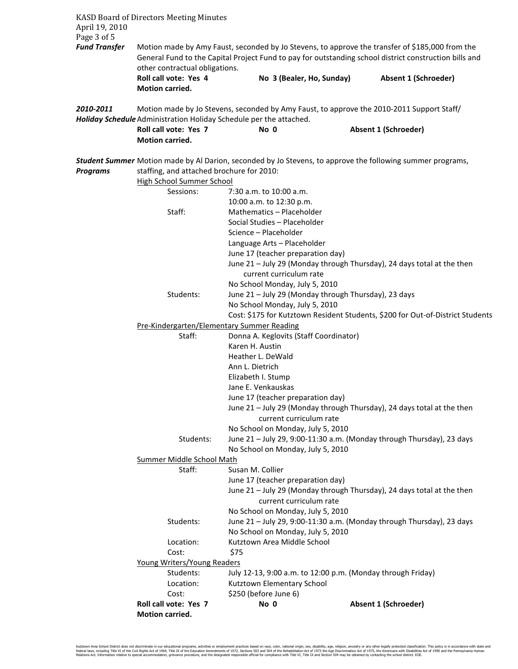| April 19, 2010                      | <b>KASD Board of Directors Meeting Minutes</b>                                                                                                                                                                                              |                                                                                                                                                                 |  |                                                                                                            |  |  |  |
|-------------------------------------|---------------------------------------------------------------------------------------------------------------------------------------------------------------------------------------------------------------------------------------------|-----------------------------------------------------------------------------------------------------------------------------------------------------------------|--|------------------------------------------------------------------------------------------------------------|--|--|--|
| Page 3 of 5<br><b>Fund Transfer</b> | Motion made by Amy Faust, seconded by Jo Stevens, to approve the transfer of \$185,000 from the<br>General Fund to the Capital Project Fund to pay for outstanding school district construction bills and<br>other contractual obligations. |                                                                                                                                                                 |  |                                                                                                            |  |  |  |
|                                     | Roll call vote: Yes 4<br><b>Motion carried.</b>                                                                                                                                                                                             | No 3 (Bealer, Ho, Sunday)                                                                                                                                       |  | Absent 1 (Schroeder)                                                                                       |  |  |  |
| 2010-2011                           |                                                                                                                                                                                                                                             | Motion made by Jo Stevens, seconded by Amy Faust, to approve the 2010-2011 Support Staff/<br>Holiday Schedule Administration Holiday Schedule per the attached. |  |                                                                                                            |  |  |  |
|                                     | Roll call vote: Yes 7<br><b>Motion carried.</b>                                                                                                                                                                                             | No 0                                                                                                                                                            |  | Absent 1 (Schroeder)                                                                                       |  |  |  |
| <b>Programs</b>                     | staffing, and attached brochure for 2010:<br><b>High School Summer School</b>                                                                                                                                                               |                                                                                                                                                                 |  | Student Summer Motion made by Al Darion, seconded by Jo Stevens, to approve the following summer programs, |  |  |  |
|                                     | Sessions:                                                                                                                                                                                                                                   | 7:30 a.m. to 10:00 a.m.<br>10:00 a.m. to 12:30 p.m.                                                                                                             |  |                                                                                                            |  |  |  |
|                                     | Staff:                                                                                                                                                                                                                                      | Mathematics - Placeholder                                                                                                                                       |  |                                                                                                            |  |  |  |
|                                     |                                                                                                                                                                                                                                             | Social Studies - Placeholder                                                                                                                                    |  |                                                                                                            |  |  |  |
|                                     |                                                                                                                                                                                                                                             | Science - Placeholder<br>Language Arts - Placeholder                                                                                                            |  |                                                                                                            |  |  |  |
|                                     |                                                                                                                                                                                                                                             | June 17 (teacher preparation day)                                                                                                                               |  |                                                                                                            |  |  |  |
|                                     |                                                                                                                                                                                                                                             |                                                                                                                                                                 |  | June 21 - July 29 (Monday through Thursday), 24 days total at the then                                     |  |  |  |
|                                     |                                                                                                                                                                                                                                             | current curriculum rate                                                                                                                                         |  |                                                                                                            |  |  |  |
|                                     |                                                                                                                                                                                                                                             | No School Monday, July 5, 2010                                                                                                                                  |  |                                                                                                            |  |  |  |
|                                     | Students:                                                                                                                                                                                                                                   | June 21 - July 29 (Monday through Thursday), 23 days<br>No School Monday, July 5, 2010                                                                          |  |                                                                                                            |  |  |  |
|                                     |                                                                                                                                                                                                                                             |                                                                                                                                                                 |  | Cost: \$175 for Kutztown Resident Students, \$200 for Out-of-District Students                             |  |  |  |
|                                     | Pre-Kindergarten/Elementary Summer Reading                                                                                                                                                                                                  |                                                                                                                                                                 |  |                                                                                                            |  |  |  |
|                                     | Staff:                                                                                                                                                                                                                                      | Donna A. Keglovits (Staff Coordinator)                                                                                                                          |  |                                                                                                            |  |  |  |
|                                     |                                                                                                                                                                                                                                             | Karen H. Austin                                                                                                                                                 |  |                                                                                                            |  |  |  |
|                                     |                                                                                                                                                                                                                                             | Heather L. DeWald                                                                                                                                               |  |                                                                                                            |  |  |  |
|                                     |                                                                                                                                                                                                                                             | Ann L. Dietrich<br>Elizabeth I. Stump                                                                                                                           |  |                                                                                                            |  |  |  |
|                                     |                                                                                                                                                                                                                                             | Jane E. Venkauskas                                                                                                                                              |  |                                                                                                            |  |  |  |
|                                     |                                                                                                                                                                                                                                             | June 17 (teacher preparation day)                                                                                                                               |  |                                                                                                            |  |  |  |
|                                     |                                                                                                                                                                                                                                             |                                                                                                                                                                 |  | June 21 - July 29 (Monday through Thursday), 24 days total at the then                                     |  |  |  |
|                                     |                                                                                                                                                                                                                                             | current curriculum rate                                                                                                                                         |  |                                                                                                            |  |  |  |
|                                     |                                                                                                                                                                                                                                             | No School on Monday, July 5, 2010                                                                                                                               |  |                                                                                                            |  |  |  |
|                                     | Students:                                                                                                                                                                                                                                   | No School on Monday, July 5, 2010                                                                                                                               |  | June 21 - July 29, 9:00-11:30 a.m. (Monday through Thursday), 23 days                                      |  |  |  |
|                                     | Summer Middle School Math                                                                                                                                                                                                                   |                                                                                                                                                                 |  |                                                                                                            |  |  |  |
|                                     | Staff:                                                                                                                                                                                                                                      | Susan M. Collier                                                                                                                                                |  |                                                                                                            |  |  |  |
|                                     |                                                                                                                                                                                                                                             | June 17 (teacher preparation day)                                                                                                                               |  |                                                                                                            |  |  |  |
|                                     |                                                                                                                                                                                                                                             |                                                                                                                                                                 |  | June 21 - July 29 (Monday through Thursday), 24 days total at the then                                     |  |  |  |
|                                     |                                                                                                                                                                                                                                             | current curriculum rate<br>No School on Monday, July 5, 2010                                                                                                    |  |                                                                                                            |  |  |  |
|                                     | Students:                                                                                                                                                                                                                                   |                                                                                                                                                                 |  | June 21 - July 29, 9:00-11:30 a.m. (Monday through Thursday), 23 days                                      |  |  |  |
|                                     |                                                                                                                                                                                                                                             | No School on Monday, July 5, 2010                                                                                                                               |  |                                                                                                            |  |  |  |
|                                     | Location:                                                                                                                                                                                                                                   | Kutztown Area Middle School                                                                                                                                     |  |                                                                                                            |  |  |  |
|                                     | Cost:                                                                                                                                                                                                                                       | \$75                                                                                                                                                            |  |                                                                                                            |  |  |  |
|                                     | Young Writers/Young Readers                                                                                                                                                                                                                 |                                                                                                                                                                 |  |                                                                                                            |  |  |  |
|                                     | Students:<br>Location:                                                                                                                                                                                                                      | July 12-13, 9:00 a.m. to 12:00 p.m. (Monday through Friday)<br>Kutztown Elementary School                                                                       |  |                                                                                                            |  |  |  |
|                                     | Cost:                                                                                                                                                                                                                                       | \$250 (before June 6)                                                                                                                                           |  |                                                                                                            |  |  |  |
|                                     | Roll call vote: Yes 7                                                                                                                                                                                                                       | No 0                                                                                                                                                            |  | <b>Absent 1 (Schroeder)</b>                                                                                |  |  |  |
|                                     | Motion carried.                                                                                                                                                                                                                             |                                                                                                                                                                 |  |                                                                                                            |  |  |  |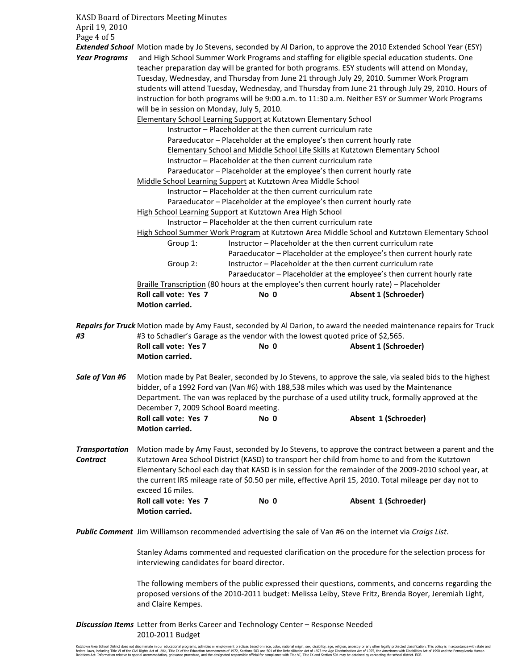KASD Board of Directors Meeting Minutes April 19, 2010 Page 4 of 5

*Extended School* Motion made by Jo Stevens, seconded by Al Darion, to approve the 2010 Extended School Year (ESY) *Year Programs* and High School Summer Work Programs and staffing for eligible special education students. One teacher preparation day will be granted for both programs. ESY students will attend on Monday, Tuesday, Wednesday, and Thursday from June 21 through July 29, 2010. Summer Work Program students will attend Tuesday, Wednesday, and Thursday from June 21 through July 29, 2010. Hours of instruction for both programs will be 9:00 a.m. to 11:30 a.m. Neither ESY or Summer Work Programs will be in session on Monday, July 5, 2010. Elementary School Learning Support at Kutztown Elementary School Instructor – Placeholder at the then current curriculum rate Paraeducator – Placeholder at the employee's then current hourly rate Elementary School and Middle School Life Skills at Kutztown Elementary School Instructor – Placeholder at the then current curriculum rate Paraeducator – Placeholder at the employee's then current hourly rate Middle School Learning Support at Kutztown Area Middle School Instructor – Placeholder at the then current curriculum rate Paraeducator – Placeholder at the employee's then current hourly rate High School Learning Support at Kutztown Area High School Instructor – Placeholder at the then current curriculum rate High School Summer Work Program at Kutztown Area Middle School and Kutztown Elementary School Group 1: Instructor – Placeholder at the then current curriculum rate Paraeducator – Placeholder at the employee's then current hourly rate Group 2: Instructor – Placeholder at the then current curriculum rate Paraeducator – Placeholder at the employee's then current hourly rate Braille Transcription (80 hours at the employee's then current hourly rate) – Placeholder **Roll call vote: Yes 7 No 0 Absent 1 (Schroeder) Motion carried.**  *Repairs for Truck* Motion made by Amy Faust, seconded by Al Darion, to award the needed maintenance repairs for Truck *#3* #3 to Schadler's Garage as the vendor with the lowest quoted price of \$2,565. Roll call vote: Yes 7 No 0 **No 2 Absent 1 (Schroeder) Motion carried.**  Sale of Van #6 Motion made by Pat Bealer, seconded by Jo Stevens, to approve the sale, via sealed bids to the highest bidder, of a 1992 Ford van (Van #6) with 188,538 miles which was used by the Maintenance Department. The van was replaced by the purchase of a used utility truck, formally approved at the December 7, 2009 School Board meeting. Roll call vote: Yes 7 No 0 Absent 1 (Schroeder) **Motion carried.**  *Transportation* Motion made by Amy Faust, seconded by Jo Stevens, to approve the contract between a parent and the *Contract* Kutztown Area School District (KASD) to transport her child from home to and from the Kutztown Elementary School each day that KASD is in session for the remainder of the 2009-2010 school year, at the current IRS mileage rate of \$0.50 per mile, effective April 15, 2010. Total mileage per day not to exceed 16 miles. Roll call vote: Yes 7 No 0 Absent 1 (Schroeder) **Motion carried.**  *Public Comment* Jim Williamson recommended advertising the sale of Van #6 on the internet via *Craigs List*. Stanley Adams commented and requested clarification on the procedure for the selection process for interviewing candidates for board director. The following members of the public expressed their questions, comments, and concerns regarding the

proposed versions of the 2010-2011 budget: Melissa Leiby, Steve Fritz, Brenda Boyer, Jeremiah Light, and Claire Kempes.

*Discussion Items* Letter from Berks Career and Technology Center – Response Needed 2010-2011 Budget

Kutztown Area School District does not discriminate in our educational programs, activities or employment practices based on race, color, national origin, sex, disability, age, religion, ancestry or any other legally prote